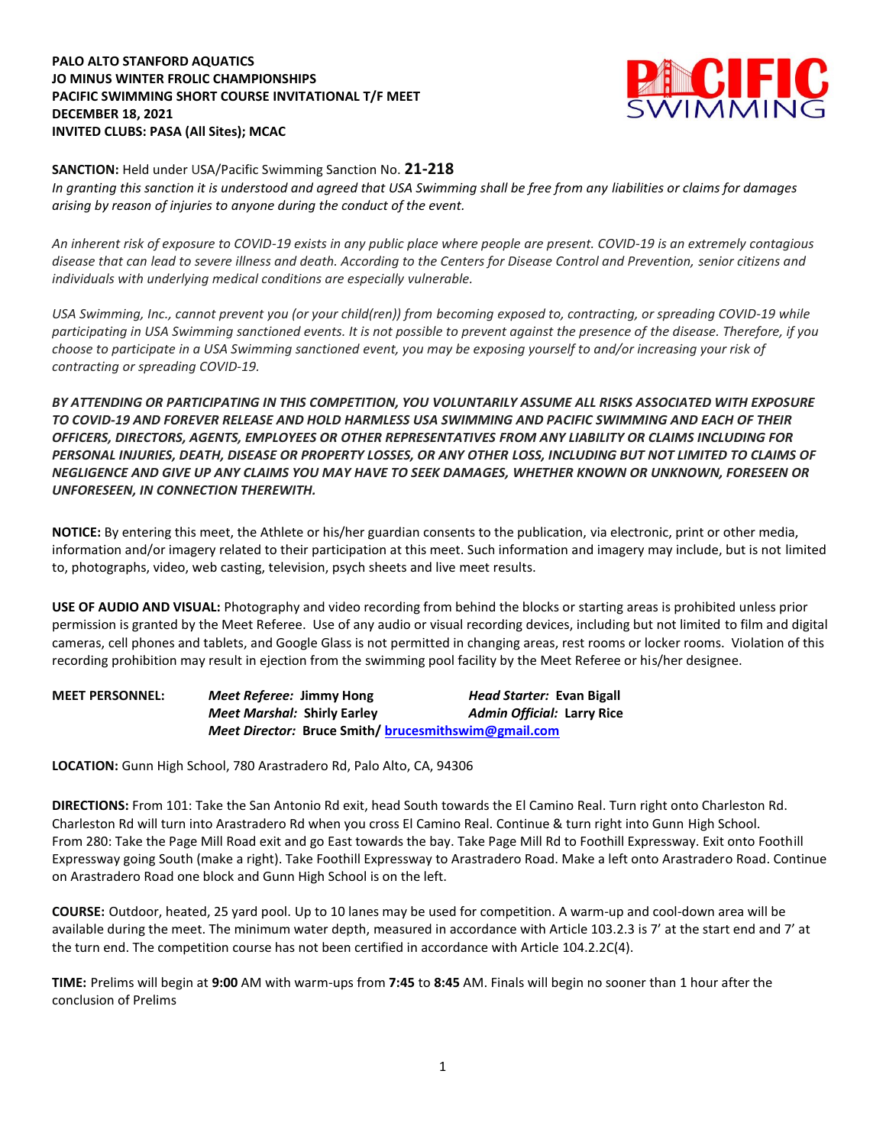## **PALO ALTO STANFORD AQUATICS JO MINUS WINTER FROLIC CHAMPIONSHIPS PACIFIC SWIMMING SHORT COURSE INVITATIONAL T/F MEET DECEMBER 18, 2021 INVITED CLUBS: PASA (All Sites); MCAC**



**SANCTION:** Held under USA/Pacific Swimming Sanction No. **21-218**

*In granting this sanction it is understood and agreed that USA Swimming shall be free from any liabilities or claims for damages arising by reason of injuries to anyone during the conduct of the event.* 

*An inherent risk of exposure to COVID-19 exists in any public place where people are present. COVID-19 is an extremely contagious disease that can lead to severe illness and death. According to the Centers for Disease Control and Prevention, senior citizens and individuals with underlying medical conditions are especially vulnerable.*

*USA Swimming, Inc., cannot prevent you (or your child(ren)) from becoming exposed to, contracting, or spreading COVID-19 while participating in USA Swimming sanctioned events. It is not possible to prevent against the presence of the disease. Therefore, if you choose to participate in a USA Swimming sanctioned event, you may be exposing yourself to and/or increasing your risk of contracting or spreading COVID-19.*

*BY ATTENDING OR PARTICIPATING IN THIS COMPETITION, YOU VOLUNTARILY ASSUME ALL RISKS ASSOCIATED WITH EXPOSURE TO COVID-19 AND FOREVER RELEASE AND HOLD HARMLESS USA SWIMMING AND PACIFIC SWIMMING AND EACH OF THEIR OFFICERS, DIRECTORS, AGENTS, EMPLOYEES OR OTHER REPRESENTATIVES FROM ANY LIABILITY OR CLAIMS INCLUDING FOR PERSONAL INJURIES, DEATH, DISEASE OR PROPERTY LOSSES, OR ANY OTHER LOSS, INCLUDING BUT NOT LIMITED TO CLAIMS OF NEGLIGENCE AND GIVE UP ANY CLAIMS YOU MAY HAVE TO SEEK DAMAGES, WHETHER KNOWN OR UNKNOWN, FORESEEN OR UNFORESEEN, IN CONNECTION THEREWITH.*

**NOTICE:** By entering this meet, the Athlete or his/her guardian consents to the publication, via electronic, print or other media, information and/or imagery related to their participation at this meet. Such information and imagery may include, but is not limited to, photographs, video, web casting, television, psych sheets and live meet results.

**USE OF AUDIO AND VISUAL:** Photography and video recording from behind the blocks or starting areas is prohibited unless prior permission is granted by the Meet Referee. Use of any audio or visual recording devices, including but not limited to film and digital cameras, cell phones and tablets, and Google Glass is not permitted in changing areas, rest rooms or locker rooms. Violation of this recording prohibition may result in ejection from the swimming pool facility by the Meet Referee or his/her designee.

| <b>MEET PERSONNEL:</b> | Meet Referee: Jimmy Hong                            |  | Head Starter: Evan Bigall         |
|------------------------|-----------------------------------------------------|--|-----------------------------------|
|                        | <b>Meet Marshal: Shirly Earley</b>                  |  | <b>Admin Official: Larry Rice</b> |
|                        | Meet Director: Bruce Smith/brucesmithswim@gmail.com |  |                                   |

**LOCATION:** Gunn High School, 780 Arastradero Rd, Palo Alto, CA, 94306

**DIRECTIONS:** From 101: Take the San Antonio Rd exit, head South towards the El Camino Real. Turn right onto Charleston Rd. Charleston Rd will turn into Arastradero Rd when you cross El Camino Real. Continue & turn right into Gunn High School. From 280: Take the Page Mill Road exit and go East towards the bay. Take Page Mill Rd to Foothill Expressway. Exit onto Foothill Expressway going South (make a right). Take Foothill Expressway to Arastradero Road. Make a left onto Arastradero Road. Continue on Arastradero Road one block and Gunn High School is on the left.

**COURSE:** Outdoor, heated, 25 yard pool. Up to 10 lanes may be used for competition. A warm-up and cool-down area will be available during the meet. The minimum water depth, measured in accordance with Article 103.2.3 is 7' at the start end and 7' at the turn end. The competition course has not been certified in accordance with Article 104.2.2C(4).

**TIME:** Prelims will begin at **9:00** AM with warm-ups from **7:45** to **8:45** AM. Finals will begin no sooner than 1 hour after the conclusion of Prelims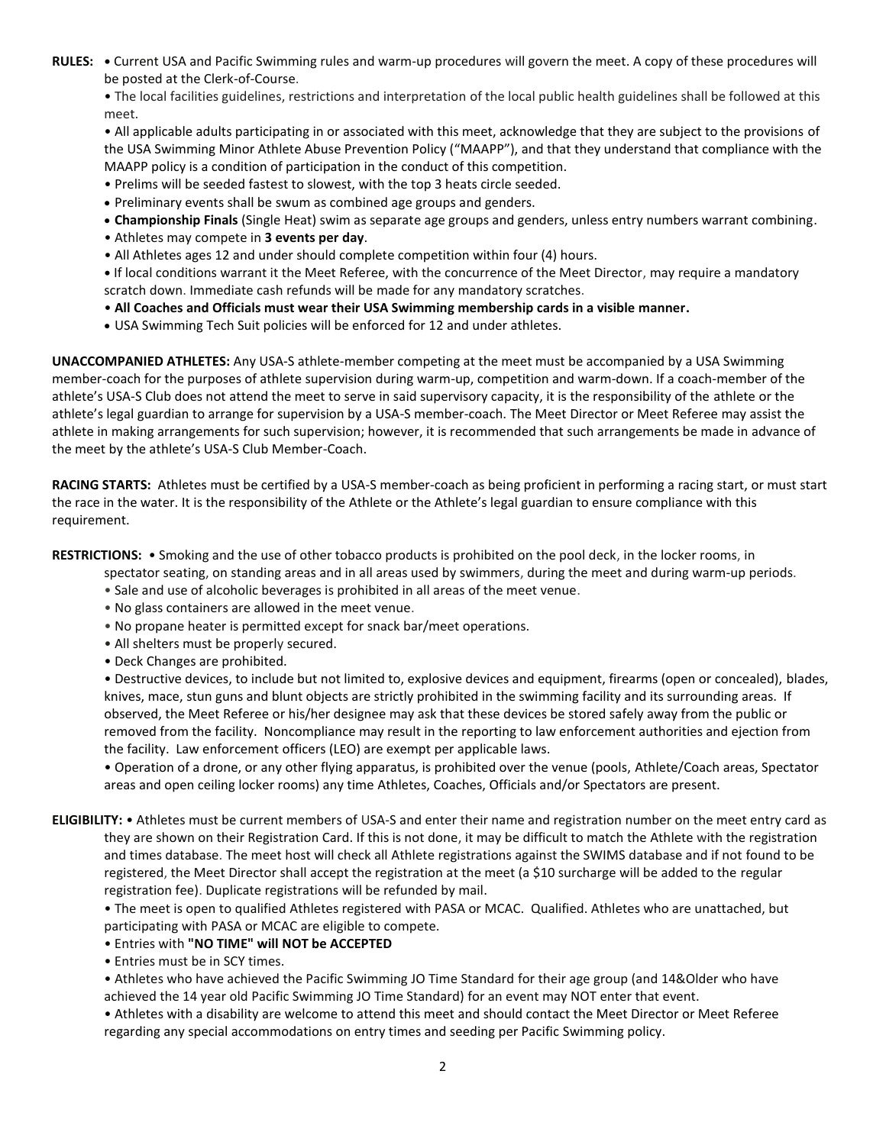**RULES: •** Current USA and Pacific Swimming rules and warm-up procedures will govern the meet. A copy of these procedures will be posted at the Clerk-of-Course.

• The local facilities guidelines, restrictions and interpretation of the local public health guidelines shall be followed at this meet.

• All applicable adults participating in or associated with this meet, acknowledge that they are subject to the provisions of the USA Swimming Minor Athlete Abuse Prevention Policy ("MAAPP"), and that they understand that compliance with the MAAPP policy is a condition of participation in the conduct of this competition.

- Prelims will be seeded fastest to slowest, with the top 3 heats circle seeded.
- Preliminary events shall be swum as combined age groups and genders.
- **Championship Finals** (Single Heat) swim as separate age groups and genders, unless entry numbers warrant combining.
- Athletes may compete in **3 events per day**.
- All Athletes ages 12 and under should complete competition within four (4) hours.

**•** If local conditions warrant it the Meet Referee, with the concurrence of the Meet Director, may require a mandatory scratch down. Immediate cash refunds will be made for any mandatory scratches.

- **All Coaches and Officials must wear their USA Swimming membership cards in a visible manner.**
- USA Swimming Tech Suit policies will be enforced for 12 and under athletes.

**UNACCOMPANIED ATHLETES:** Any USA-S athlete-member competing at the meet must be accompanied by a USA Swimming member-coach for the purposes of athlete supervision during warm-up, competition and warm-down. If a coach-member of the athlete's USA-S Club does not attend the meet to serve in said supervisory capacity, it is the responsibility of the athlete or the athlete's legal guardian to arrange for supervision by a USA-S member-coach. The Meet Director or Meet Referee may assist the athlete in making arrangements for such supervision; however, it is recommended that such arrangements be made in advance of the meet by the athlete's USA-S Club Member-Coach.

**RACING STARTS:** Athletes must be certified by a USA-S member-coach as being proficient in performing a racing start, or must start the race in the water. It is the responsibility of the Athlete or the Athlete's legal guardian to ensure compliance with this requirement.

**RESTRICTIONS:** • Smoking and the use of other tobacco products is prohibited on the pool deck, in the locker rooms, in

spectator seating, on standing areas and in all areas used by swimmers, during the meet and during warm-up periods.

- Sale and use of alcoholic beverages is prohibited in all areas of the meet venue.
- No glass containers are allowed in the meet venue.
- No propane heater is permitted except for snack bar/meet operations.
- All shelters must be properly secured.
- Deck Changes are prohibited.

• Destructive devices, to include but not limited to, explosive devices and equipment, firearms (open or concealed), blades, knives, mace, stun guns and blunt objects are strictly prohibited in the swimming facility and its surrounding areas. If observed, the Meet Referee or his/her designee may ask that these devices be stored safely away from the public or removed from the facility. Noncompliance may result in the reporting to law enforcement authorities and ejection from the facility. Law enforcement officers (LEO) are exempt per applicable laws.

• Operation of a drone, or any other flying apparatus, is prohibited over the venue (pools, Athlete/Coach areas, Spectator areas and open ceiling locker rooms) any time Athletes, Coaches, Officials and/or Spectators are present.

**ELIGIBILITY:** • Athletes must be current members of USA-S and enter their name and registration number on the meet entry card as they are shown on their Registration Card. If this is not done, it may be difficult to match the Athlete with the registration and times database. The meet host will check all Athlete registrations against the SWIMS database and if not found to be registered, the Meet Director shall accept the registration at the meet (a \$10 surcharge will be added to the regular registration fee). Duplicate registrations will be refunded by mail.

• The meet is open to qualified Athletes registered with PASA or MCAC. Qualified. Athletes who are unattached, but participating with PASA or MCAC are eligible to compete.

- Entries with **"NO TIME" will NOT be ACCEPTED**
- Entries must be in SCY times.

• Athletes who have achieved the Pacific Swimming JO Time Standard for their age group (and 14&Older who have achieved the 14 year old Pacific Swimming JO Time Standard) for an event may NOT enter that event.

• Athletes with a disability are welcome to attend this meet and should contact the Meet Director or Meet Referee regarding any special accommodations on entry times and seeding per Pacific Swimming policy.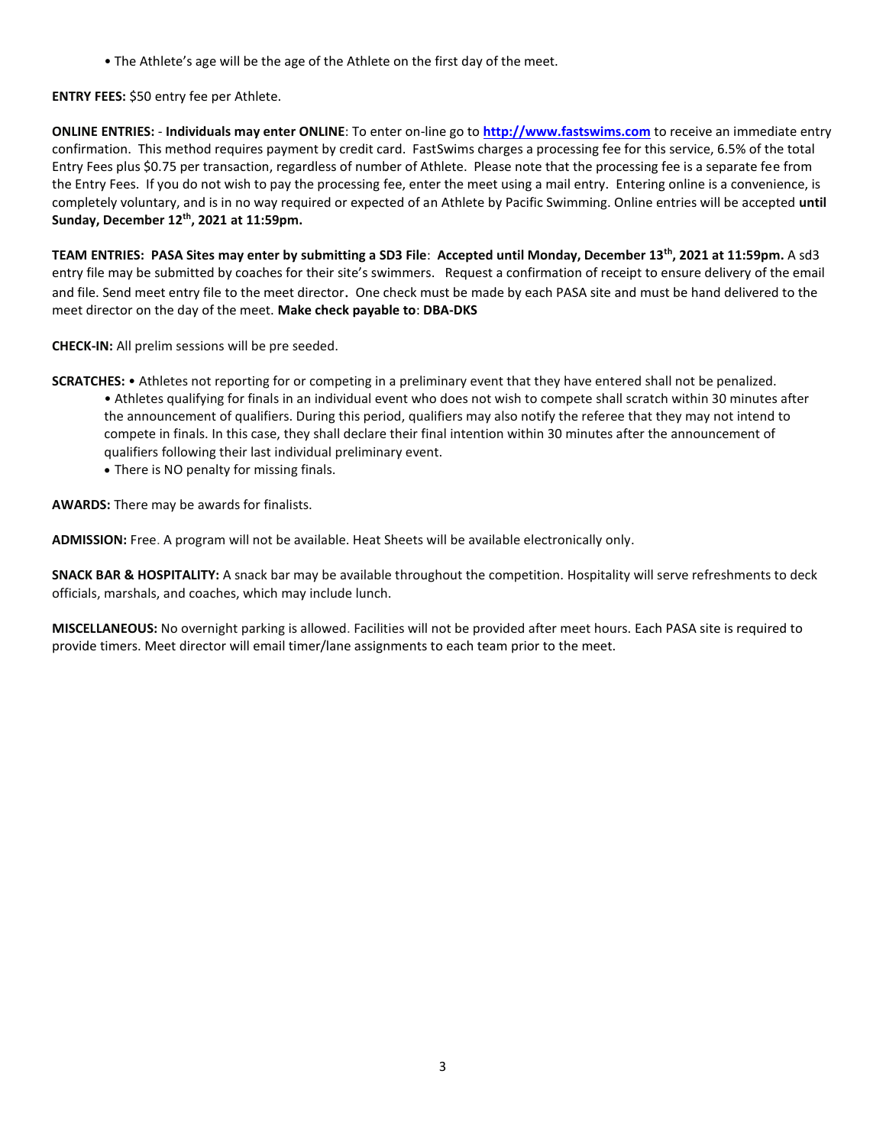• The Athlete's age will be the age of the Athlete on the first day of the meet.

**ENTRY FEES:** \$50 entry fee per Athlete.

**ONLINE ENTRIES:** - **Individuals may enter ONLINE**: To enter on-line go to **[http://www.fastswims.com](http://www.fastswims.com/)** to receive an immediate entry confirmation. This method requires payment by credit card. FastSwims charges a processing fee for this service, 6.5% of the total Entry Fees plus \$0.75 per transaction, regardless of number of Athlete. Please note that the processing fee is a separate fee from the Entry Fees. If you do not wish to pay the processing fee, enter the meet using a mail entry. Entering online is a convenience, is completely voluntary, and is in no way required or expected of an Athlete by Pacific Swimming. Online entries will be accepted **until Sunday, December 12th, 2021 at 11:59pm.** 

**TEAM ENTRIES: PASA Sites may enter by submitting a SD3 File**: **Accepted until Monday, December 13th, 2021 at 11:59pm.** A sd3 entry file may be submitted by coaches for their site's swimmers. Request a confirmation of receipt to ensure delivery of the email and file. Send meet entry file to the meet director. One check must be made by each PASA site and must be hand delivered to the meet director on the day of the meet. **Make check payable to**: **DBA-DKS**

**CHECK-IN:** All prelim sessions will be pre seeded.

- **SCRATCHES:**  Athletes not reporting for or competing in a preliminary event that they have entered shall not be penalized. • Athletes qualifying for finals in an individual event who does not wish to compete shall scratch within 30 minutes after the announcement of qualifiers. During this period, qualifiers may also notify the referee that they may not intend to compete in finals. In this case, they shall declare their final intention within 30 minutes after the announcement of qualifiers following their last individual preliminary event.
	- There is NO penalty for missing finals.

**AWARDS:** There may be awards for finalists.

**ADMISSION:** Free. A program will not be available. Heat Sheets will be available electronically only.

**SNACK BAR & HOSPITALITY:** A snack bar may be available throughout the competition. Hospitality will serve refreshments to deck officials, marshals, and coaches, which may include lunch.

**MISCELLANEOUS:** No overnight parking is allowed. Facilities will not be provided after meet hours. Each PASA site is required to provide timers. Meet director will email timer/lane assignments to each team prior to the meet.